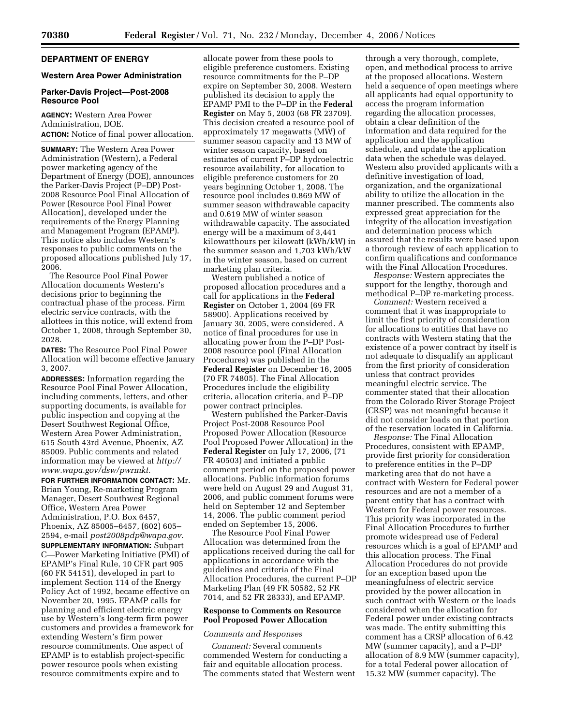# **DEPARTMENT OF ENERGY**

# **Western Area Power Administration**

#### **Parker-Davis Project—Post-2008 Resource Pool**

**AGENCY:** Western Area Power Administration, DOE. **ACTION:** Notice of final power allocation.

**SUMMARY:** The Western Area Power Administration (Western), a Federal power marketing agency of the Department of Energy (DOE), announces the Parker-Davis Project (P–DP) Post-2008 Resource Pool Final Allocation of Power (Resource Pool Final Power Allocation), developed under the requirements of the Energy Planning and Management Program (EPAMP). This notice also includes Western's responses to public comments on the proposed allocations published July 17, 2006.

The Resource Pool Final Power Allocation documents Western's decisions prior to beginning the contractual phase of the process. Firm electric service contracts, with the allottees in this notice, will extend from October 1, 2008, through September 30, 2028.

**DATES:** The Resource Pool Final Power Allocation will become effective January 3, 2007.

**ADDRESSES:** Information regarding the Resource Pool Final Power Allocation, including comments, letters, and other supporting documents, is available for public inspection and copying at the Desert Southwest Regional Office, Western Area Power Administration, 615 South 43rd Avenue, Phoenix, AZ 85009. Public comments and related information may be viewed at *http:// www.wapa.gov/dsw/pwrmkt*.

**FOR FURTHER INFORMATION CONTACT:** Mr. Brian Young, Re-marketing Program Manager, Desert Southwest Regional Office, Western Area Power Administration, P.O. Box 6457, Phoenix, AZ 85005–6457, (602) 605– 2594, e-mail *post2008pdp@wapa.gov*. **SUPPLEMENTARY INFORMATION:** Subpart C—Power Marketing Initiative (PMI) of EPAMP's Final Rule, 10 CFR part 905 (60 FR 54151), developed in part to implement Section 114 of the Energy Policy Act of 1992, became effective on November 20, 1995. EPAMP calls for planning and efficient electric energy use by Western's long-term firm power customers and provides a framework for extending Western's firm power resource commitments. One aspect of EPAMP is to establish project-specific power resource pools when existing resource commitments expire and to

allocate power from these pools to eligible preference customers. Existing resource commitments for the P–DP expire on September 30, 2008. Western published its decision to apply the EPAMP PMI to the P–DP in the **Federal Register** on May 5, 2003 (68 FR 23709). This decision created a resource pool of approximately 17 megawatts (MW) of summer season capacity and 13 MW of winter season capacity, based on estimates of current P–DP hydroelectric resource availability, for allocation to eligible preference customers for 20 years beginning October 1, 2008. The resource pool includes 0.869 MW of summer season withdrawable capacity and 0.619 MW of winter season withdrawable capacity. The associated energy will be a maximum of 3,441 kilowatthours per kilowatt (kWh/kW) in the summer season and 1,703 kWh/kW in the winter season, based on current marketing plan criteria.

Western published a notice of proposed allocation procedures and a call for applications in the **Federal Register** on October 1, 2004 (69 FR 58900). Applications received by January 30, 2005, were considered. A notice of final procedures for use in allocating power from the P–DP Post-2008 resource pool (Final Allocation Procedures) was published in the **Federal Register** on December 16, 2005 (70 FR 74805). The Final Allocation Procedures include the eligibility criteria, allocation criteria, and P–DP power contract principles.

Western published the Parker-Davis Project Post-2008 Resource Pool Proposed Power Allocation (Resource Pool Proposed Power Allocation) in the **Federal Register** on July 17, 2006, (71 FR 40503) and initiated a public comment period on the proposed power allocations. Public information forums were held on August 29 and August 31, 2006, and public comment forums were held on September 12 and September 14, 2006. The public comment period ended on September 15, 2006.

The Resource Pool Final Power Allocation was determined from the applications received during the call for applications in accordance with the guidelines and criteria of the Final Allocation Procedures, the current P–DP Marketing Plan (49 FR 50582, 52 FR 7014, and 52 FR 28333), and EPAMP.

### **Response to Comments on Resource Pool Proposed Power Allocation**

#### *Comments and Responses*

*Comment:* Several comments commended Western for conducting a fair and equitable allocation process. The comments stated that Western went

through a very thorough, complete, open, and methodical process to arrive at the proposed allocations. Western held a sequence of open meetings where all applicants had equal opportunity to access the program information regarding the allocation processes, obtain a clear definition of the information and data required for the application and the application schedule, and update the application data when the schedule was delayed. Western also provided applicants with a definitive investigation of load, organization, and the organizational ability to utilize the allocation in the manner prescribed. The comments also expressed great appreciation for the integrity of the allocation investigation and determination process which assured that the results were based upon a thorough review of each application to confirm qualifications and conformance with the Final Allocation Procedures.

*Response:* Western appreciates the support for the lengthy, thorough and methodical P–DP re-marketing process.

*Comment:* Western received a comment that it was inappropriate to limit the first priority of consideration for allocations to entities that have no contracts with Western stating that the existence of a power contract by itself is not adequate to disqualify an applicant from the first priority of consideration unless that contract provides meaningful electric service. The commenter stated that their allocation from the Colorado River Storage Project (CRSP) was not meaningful because it did not consider loads on that portion of the reservation located in California.

*Response:* The Final Allocation Procedures, consistent with EPAMP, provide first priority for consideration to preference entities in the P–DP marketing area that do not have a contract with Western for Federal power resources and are not a member of a parent entity that has a contract with Western for Federal power resources. This priority was incorporated in the Final Allocation Procedures to further promote widespread use of Federal resources which is a goal of EPAMP and this allocation process. The Final Allocation Procedures do not provide for an exception based upon the meaningfulness of electric service provided by the power allocation in such contract with Western or the loads considered when the allocation for Federal power under existing contracts was made. The entity submitting this comment has a CRSP allocation of 6.42 MW (summer capacity), and a P–DP allocation of 8.9 MW (summer capacity), for a total Federal power allocation of 15.32 MW (summer capacity). The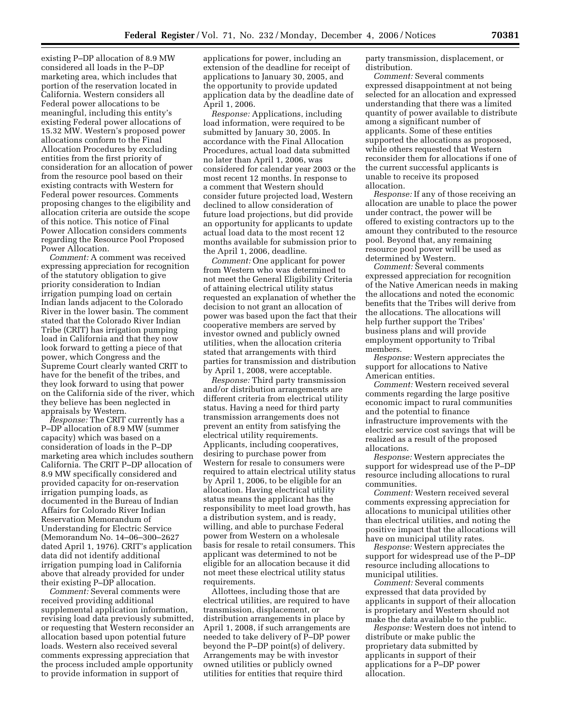existing P–DP allocation of 8.9 MW considered all loads in the P–DP marketing area, which includes that portion of the reservation located in California. Western considers all Federal power allocations to be meaningful, including this entity's existing Federal power allocations of 15.32 MW. Western's proposed power allocations conform to the Final Allocation Procedures by excluding entities from the first priority of consideration for an allocation of power from the resource pool based on their existing contracts with Western for Federal power resources. Comments proposing changes to the eligibility and allocation criteria are outside the scope of this notice. This notice of Final Power Allocation considers comments regarding the Resource Pool Proposed Power Allocation.

*Comment:* A comment was received expressing appreciation for recognition of the statutory obligation to give priority consideration to Indian irrigation pumping load on certain Indian lands adjacent to the Colorado River in the lower basin. The comment stated that the Colorado River Indian Tribe (CRIT) has irrigation pumping load in California and that they now look forward to getting a piece of that power, which Congress and the Supreme Court clearly wanted CRIT to have for the benefit of the tribes, and they look forward to using that power on the California side of the river, which they believe has been neglected in appraisals by Western.

*Response:* The CRIT currently has a P–DP allocation of 8.9 MW (summer capacity) which was based on a consideration of loads in the P–DP marketing area which includes southern California. The CRIT P–DP allocation of 8.9 MW specifically considered and provided capacity for on-reservation irrigation pumping loads, as documented in the Bureau of Indian Affairs for Colorado River Indian Reservation Memorandum of Understanding for Electric Service (Memorandum No. 14–06–300–2627 dated April 1, 1976). CRIT's application data did not identify additional irrigation pumping load in California above that already provided for under their existing P–DP allocation.

*Comment:* Several comments were received providing additional supplemental application information, revising load data previously submitted, or requesting that Western reconsider an allocation based upon potential future loads. Western also received several comments expressing appreciation that the process included ample opportunity to provide information in support of

applications for power, including an extension of the deadline for receipt of applications to January 30, 2005, and the opportunity to provide updated application data by the deadline date of April 1, 2006.

*Response:* Applications, including load information, were required to be submitted by January 30, 2005. In accordance with the Final Allocation Procedures, actual load data submitted no later than April 1, 2006, was considered for calendar year 2003 or the most recent 12 months. In response to a comment that Western should consider future projected load, Western declined to allow consideration of future load projections, but did provide an opportunity for applicants to update actual load data to the most recent 12 months available for submission prior to the April 1, 2006, deadline.

*Comment:* One applicant for power from Western who was determined to not meet the General Eligibility Criteria of attaining electrical utility status requested an explanation of whether the decision to not grant an allocation of power was based upon the fact that their cooperative members are served by investor owned and publicly owned utilities, when the allocation criteria stated that arrangements with third parties for transmission and distribution by April 1, 2008, were acceptable.

*Response:* Third party transmission and/or distribution arrangements are different criteria from electrical utility status. Having a need for third party transmission arrangements does not prevent an entity from satisfying the electrical utility requirements. Applicants, including cooperatives, desiring to purchase power from Western for resale to consumers were required to attain electrical utility status by April 1, 2006, to be eligible for an allocation. Having electrical utility status means the applicant has the responsibility to meet load growth, has a distribution system, and is ready, willing, and able to purchase Federal power from Western on a wholesale basis for resale to retail consumers. This applicant was determined to not be eligible for an allocation because it did not meet these electrical utility status requirements.

Allottees, including those that are electrical utilities, are required to have transmission, displacement, or distribution arrangements in place by April 1, 2008, if such arrangements are needed to take delivery of P–DP power beyond the P–DP point(s) of delivery. Arrangements may be with investor owned utilities or publicly owned utilities for entities that require third

party transmission, displacement, or distribution.

*Comment:* Several comments expressed disappointment at not being selected for an allocation and expressed understanding that there was a limited quantity of power available to distribute among a significant number of applicants. Some of these entities supported the allocations as proposed, while others requested that Western reconsider them for allocations if one of the current successful applicants is unable to receive its proposed allocation.

*Response:* If any of those receiving an allocation are unable to place the power under contract, the power will be offered to existing contractors up to the amount they contributed to the resource pool. Beyond that, any remaining resource pool power will be used as determined by Western.

*Comment:* Several comments expressed appreciation for recognition of the Native American needs in making the allocations and noted the economic benefits that the Tribes will derive from the allocations. The allocations will help further support the Tribes' business plans and will provide employment opportunity to Tribal members.

*Response:* Western appreciates the support for allocations to Native American entities.

*Comment:* Western received several comments regarding the large positive economic impact to rural communities and the potential to finance infrastructure improvements with the electric service cost savings that will be realized as a result of the proposed allocations.

*Response:* Western appreciates the support for widespread use of the P–DP resource including allocations to rural communities.

*Comment:* Western received several comments expressing appreciation for allocations to municipal utilities other than electrical utilities, and noting the positive impact that the allocations will have on municipal utility rates.

*Response:* Western appreciates the support for widespread use of the P–DP resource including allocations to municipal utilities.

*Comment:* Several comments expressed that data provided by applicants in support of their allocation is proprietary and Western should not make the data available to the public.

*Response:* Western does not intend to distribute or make public the proprietary data submitted by applicants in support of their applications for a P–DP power allocation.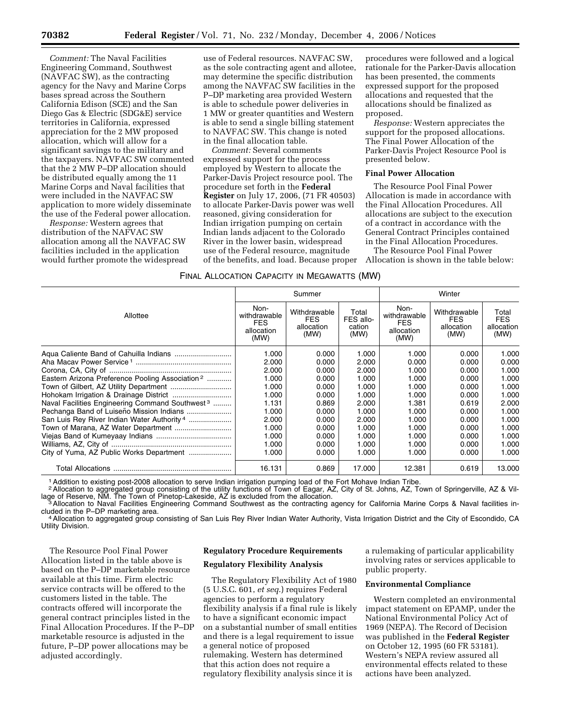*Comment:* The Naval Facilities Engineering Command, Southwest (NAVFAC SW), as the contracting agency for the Navy and Marine Corps bases spread across the Southern California Edison (SCE) and the San Diego Gas & Electric (SDG&E) service territories in California, expressed appreciation for the 2 MW proposed allocation, which will allow for a significant savings to the military and the taxpayers. NAVFAC SW commented that the 2 MW P–DP allocation should be distributed equally among the 11 Marine Corps and Naval facilities that were included in the NAVFAC SW application to more widely disseminate the use of the Federal power allocation.

*Response:* Western agrees that distribution of the NAFVAC SW allocation among all the NAVFAC SW facilities included in the application would further promote the widespread

use of Federal resources. NAVFAC SW, as the sole contracting agent and allotee, may determine the specific distribution among the NAVFAC SW facilities in the P–DP marketing area provided Western is able to schedule power deliveries in 1 MW or greater quantities and Western is able to send a single billing statement to NAVFAC SW. This change is noted in the final allocation table.

*Comment:* Several comments expressed support for the process employed by Western to allocate the Parker-Davis Project resource pool. The procedure set forth in the **Federal Register** on July 17, 2006, (71 FR 40503) to allocate Parker-Davis power was well reasoned, giving consideration for Indian irrigation pumping on certain Indian lands adjacent to the Colorado River in the lower basin, widespread use of the Federal resource, magnitude of the benefits, and load. Because proper

procedures were followed and a logical rationale for the Parker-Davis allocation has been presented, the comments expressed support for the proposed allocations and requested that the allocations should be finalized as proposed.

*Response:* Western appreciates the support for the proposed allocations. The Final Power Allocation of the Parker-Davis Project Resource Pool is presented below.

#### **Final Power Allocation**

The Resource Pool Final Power Allocation is made in accordance with the Final Allocation Procedures. All allocations are subject to the execution of a contract in accordance with the General Contract Principles contained in the Final Allocation Procedures.

The Resource Pool Final Power Allocation is shown in the table below:

#### FINAL ALLOCATION CAPACITY IN MEGAWATTS (MW)

|                                                             | Summer                                                   |                                                  |                                      | Winter                                                   |                                                  |                                           |
|-------------------------------------------------------------|----------------------------------------------------------|--------------------------------------------------|--------------------------------------|----------------------------------------------------------|--------------------------------------------------|-------------------------------------------|
| Allottee                                                    | Non-<br>withdrawable<br><b>FES</b><br>allocation<br>(MW) | Withdrawable<br><b>FES</b><br>allocation<br>(MW) | Total<br>FES allo-<br>cation<br>(MW) | Non-<br>withdrawable<br><b>FES</b><br>allocation<br>(MW) | Withdrawable<br><b>FES</b><br>allocation<br>(MW) | Total<br><b>FES</b><br>allocation<br>(MW) |
|                                                             | 1.000                                                    | 0.000                                            | 1.000                                | 1.000                                                    | 0.000                                            | 1.000                                     |
|                                                             | 2.000                                                    | 0.000                                            | 2.000                                | 0.000                                                    | 0.000                                            | 0.000                                     |
|                                                             | 2.000                                                    | 0.000                                            | 2.000                                | 1.000                                                    | 0.000                                            | 1.000                                     |
| Eastern Arizona Preference Pooling Association <sup>2</sup> | 1.000                                                    | 0.000                                            | 1.000                                | 1.000                                                    | 0.000                                            | 1.000                                     |
|                                                             | 1.000                                                    | 0.000                                            | 1.000                                | 1.000                                                    | 0.000                                            | 1.000                                     |
|                                                             | 1.000                                                    | 0.000                                            | 1.000                                | 1.000                                                    | 0.000                                            | 1.000                                     |
| Naval Facilities Engineering Command Southwest <sup>3</sup> | 1.131                                                    | 0.869                                            | 2.000                                | 1.381                                                    | 0.619                                            | 2.000                                     |
| Pechanga Band of Luiseño Mission Indians                    | 1.000                                                    | 0.000                                            | 1.000                                | 1.000                                                    | 0.000                                            | 1.000                                     |
| San Luis Rey River Indian Water Authority <sup>4</sup>      | 2.000                                                    | 0.000                                            | 2.000                                | 1.000                                                    | 0.000                                            | 1.000                                     |
| Town of Marana, AZ Water Department                         | 1.000                                                    | 0.000                                            | 1.000                                | 1.000                                                    | 0.000                                            | 1.000                                     |
|                                                             | 1.000                                                    | 0.000                                            | 1.000                                | 1.000                                                    | 0.000                                            | 1.000                                     |
|                                                             | 1.000                                                    | 0.000                                            | 1.000                                | 1.000                                                    | 0.000                                            | 1.000                                     |
| City of Yuma, AZ Public Works Department                    | 1.000                                                    | 0.000                                            | 1.000                                | 1.000                                                    | 0.000                                            | 1.000                                     |
|                                                             | 16.131                                                   | 0.869                                            | 17.000                               | 12.381                                                   | 0.619                                            | 13.000                                    |

1Addition to existing post-2008 allocation to serve Indian irrigation pumping load of the Fort Mohave Indian Tribe.

2 Allocation to aggregated group consisting of the utility functions of Town of Eagar, AZ, City of St. Johns, AZ, Town of Springerville, AZ & Vil-<br>lage of Reserve, NM. The Town of Pinetop-Lakeside, AZ is excluded from the

lage of Reserve, NM. The Town of Pinetop-Lakeside, AZ is excluded from the allocation.<br>3 Allocation to Naval Facilities Engineering Command Southwest as the contracting agency for California Marine Corps & Naval facilities

cluded in the P–DP marketing area.<br>4Allocation to aggregated group consisting of San Luis Rey River Indian Water Authority, Vista Irrigation District and the City of Escondido, CA Utility Division.

The Resource Pool Final Power Allocation listed in the table above is based on the P–DP marketable resource available at this time. Firm electric service contracts will be offered to the customers listed in the table. The contracts offered will incorporate the general contract principles listed in the Final Allocation Procedures. If the P–DP marketable resource is adjusted in the future, P–DP power allocations may be adjusted accordingly.

#### **Regulatory Procedure Requirements**

## **Regulatory Flexibility Analysis**

The Regulatory Flexibility Act of 1980 (5 U.S.C. 601, *et seq*.) requires Federal agencies to perform a regulatory flexibility analysis if a final rule is likely to have a significant economic impact on a substantial number of small entities and there is a legal requirement to issue a general notice of proposed rulemaking. Western has determined that this action does not require a regulatory flexibility analysis since it is

a rulemaking of particular applicability involving rates or services applicable to public property.

# **Environmental Compliance**

Western completed an environmental impact statement on EPAMP, under the National Environmental Policy Act of 1969 (NEPA). The Record of Decision was published in the **Federal Register**  on October 12, 1995 (60 FR 53181). Western's NEPA review assured all environmental effects related to these actions have been analyzed.